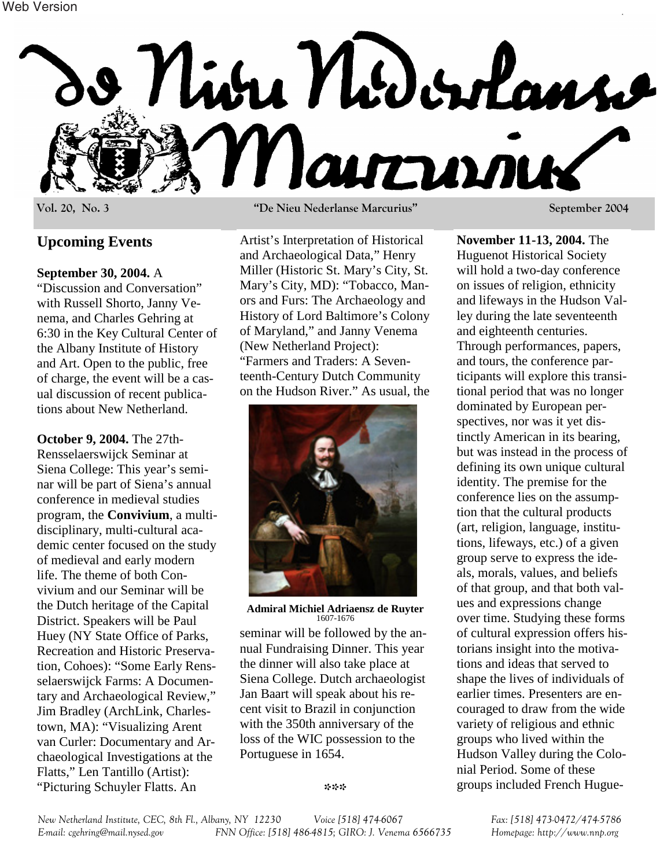

## **Upcoming Events**

### **September 30, 2004.** A

"Discussion and Conversation" with Russell Shorto, Janny Venema, and Charles Gehring at 6:30 in the Key Cultural Center of the Albany Institute of History and Art. Open to the public, free of charge, the event will be a casual discussion of recent publications about New Netherland.

**October 9, 2004.** The 27th-Rensselaerswijck Seminar at Siena College: This year's seminar will be part of Siena's annual conference in medieval studies program, the **Convivium**, a multidisciplinary, multi-cultural academic center focused on the study of medieval and early modern life. The theme of both Convivium and our Seminar will be the Dutch heritage of the Capital District. Speakers will be Paul Huey (NY State Office of Parks, Recreation and Historic Preservation, Cohoes): "Some Early Rensselaerswijck Farms: A Documentary and Archaeological Review," Jim Bradley (ArchLink, Charlestown, MA): "Visualizing Arent van Curler: Documentary and Archaeological Investigations at the Flatts," Len Tantillo (Artist): "Picturing Schuyler Flatts. An

**Vol. 20, No. 3 "De Nieu Nederlanse Marcurius" September 2004** 

Artist's Interpretation of Historical and Archaeological Data," Henry Miller (Historic St. Mary's City, St. Mary's City, MD): "Tobacco, Manors and Furs: The Archaeology and History of Lord Baltimore's Colony of Maryland," and Janny Venema (New Netherland Project): "Farmers and Traders: A Seventeenth-Century Dutch Community on the Hudson River." As usual, the



**Admiral Michiel Adriaensz de Ruyter** 1607-1676

seminar will be followed by the annual Fundraising Dinner. This year the dinner will also take place at Siena College. Dutch archaeologist Jan Baart will speak about his recent visit to Brazil in conjunction with the 350th anniversary of the loss of the WIC possession to the Portuguese in 1654.

**November 11-13, 2004.** The Huguenot Historical Society will hold a two-day conference on issues of religion, ethnicity and lifeways in the Hudson Valley during the late seventeenth and eighteenth centuries. Through performances, papers, and tours, the conference participants will explore this transitional period that was no longer dominated by European perspectives, nor was it yet distinctly American in its bearing, but was instead in the process of defining its own unique cultural identity. The premise for the conference lies on the assumption that the cultural products (art, religion, language, institutions, lifeways, etc.) of a given group serve to express the ideals, morals, values, and beliefs of that group, and that both values and expressions change over time. Studying these forms of cultural expression offers historians insight into the motivations and ideas that served to shape the lives of individuals of earlier times. Presenters are encouraged to draw from the wide variety of religious and ethnic groups who lived within the Hudson Valley during the Colonial Period. Some of these groups included French Hugue-

*New Netherland Institute, CEC, 8th Fl., Albany, NY 12230 Voice [518] 474-6067 Fax: [518] 473-0472/474-5786 E-mail: cgehring@mail.nysed.gov FNN Office: [518] 486-4815; GIRO: J. Venema 6566735 Homepage: http://www.nnp.org*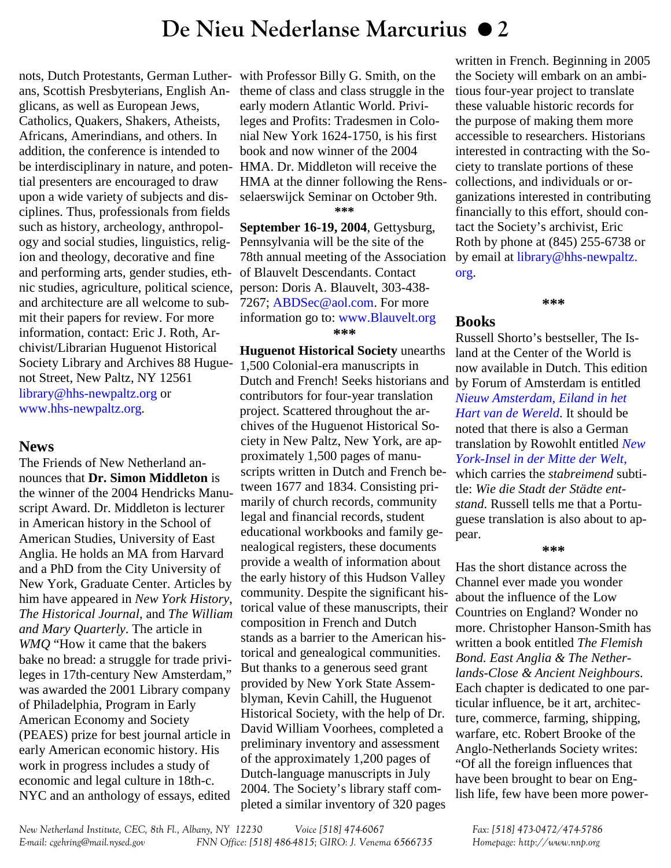# **De Nieu Nederlanse Marcurius 2**

nots, Dutch Protestants, German Lutherans, Scottish Presbyterians, English Anglicans, as well as European Jews, Catholics, Quakers, Shakers, Atheists, Africans, Amerindians, and others. In addition, the conference is intended to be interdisciplinary in nature, and potential presenters are encouraged to draw upon a wide variety of subjects and disciplines. Thus, professionals from fields such as history, archeology, anthropology and social studies, linguistics, religion and theology, decorative and fine and performing arts, gender studies, ethnic studies, agriculture, political science, and architecture are all welcome to submit their papers for review. For more information, contact: Eric J. Roth, Archivist/Librarian Huguenot Historical Society Library and Archives 88 Huguenot Street, New Paltz, NY 12561 [library@hhs-newpaltz.org](mailto:library@hhs-newpaltz.org) or [www.hhs-newpaltz.org.](http://www.hhs-newpaltz.org)

## **News**

The Friends of New Netherland announces that **Dr. Simon Middleton** is the winner of the 2004 Hendricks Manuscript Award. Dr. Middleton is lecturer in American history in the School of American Studies, University of East Anglia. He holds an MA from Harvard and a PhD from the City University of New York, Graduate Center. Articles by him have appeared in *New York History*, *The Historical Journal*, and *The William and Mary Quarterly*. The article in *WMQ* "How it came that the bakers bake no bread: a struggle for trade privileges in 17th-century New Amsterdam," was awarded the 2001 Library company of Philadelphia, Program in Early American Economy and Society (PEAES) prize for best journal article in early American economic history. His work in progress includes a study of economic and legal culture in 18th-c. NYC and an anthology of essays, edited

with Professor Billy G. Smith, on the theme of class and class struggle in the early modern Atlantic World. Privileges and Profits: Tradesmen in Colonial New York 1624-1750, is his first book and now winner of the 2004 HMA. Dr. Middleton will receive the HMA at the dinner following the Rensselaerswijck Seminar on October 9th. **\*\*\*** 

**September 16-19, 2004**, Gettysburg, Pennsylvania will be the site of the 78th annual meeting of the Association of Blauvelt Descendants. Contact person: Doris A. Blauvelt, 303-438- 7267; [ABDSec@aol.com.](mailto:abdsec@aol.com) For more information go to: [www.Blauvelt.org](http://www.blauvelt.org) **\*\*\*** 

**Huguenot Historical Society** unearths 1,500 Colonial-era manuscripts in Dutch and French! Seeks historians and contributors for four-year translation project. Scattered throughout the archives of the Huguenot Historical Society in New Paltz, New York, are approximately 1,500 pages of manuscripts written in Dutch and French between 1677 and 1834. Consisting primarily of church records, community legal and financial records, student educational workbooks and family genealogical registers, these documents provide a wealth of information about the early history of this Hudson Valley community. Despite the significant historical value of these manuscripts, their composition in French and Dutch stands as a barrier to the American historical and genealogical communities. But thanks to a generous seed grant provided by New York State Assemblyman, Kevin Cahill, the Huguenot Historical Society, with the help of Dr. David William Voorhees, completed a preliminary inventory and assessment of the approximately 1,200 pages of Dutch-language manuscripts in July 2004. The Society's library staff completed a similar inventory of 320 pages

written in French. Beginning in 2005 the Society will embark on an ambitious four-year project to translate these valuable historic records for the purpose of making them more accessible to researchers. Historians interested in contracting with the Society to translate portions of these collections, and individuals or organizations interested in contributing financially to this effort, should contact the Society's archivist, Eric Roth by phone at (845) 255-6738 or [by email at library@hhs-newpaltz.](mailto:library@hhs-newpaltz.org) org.

**\*\*\*** 

### **Books**

Russell Shorto's bestseller, The Island at the Center of the World is now available in Dutch. This edition by Forum of Amsterdam is entitled *[Nieuw Amsterdam, Eiland in het](http://www.nnbh.com/gesch2.htm#9022538133)  Hart van de Wereld*. It should be noted that there is also a German translation by Rowohlt entitled *New York-Insel in der Mitte der Welt*, which carries the *stabreimend* subtitle: *Wie die Stadt der Städte entstand*. Russell tells me that a Portuguese translation is also about to appear.

### **\*\*\***

Has the short distance across the Channel ever made you wonder about the influence of the Low Countries on England? Wonder no more. Christopher Hanson-Smith has written a book entitled *The Flemish Bond. East Anglia & The Netherlands-Close & Ancient Neighbours*. Each chapter is dedicated to one particular influence, be it art, architecture, commerce, farming, shipping, warfare, etc. Robert Brooke of the Anglo-Netherlands Society writes: "Of all the foreign influences that have been brought to bear on English life, few have been more power-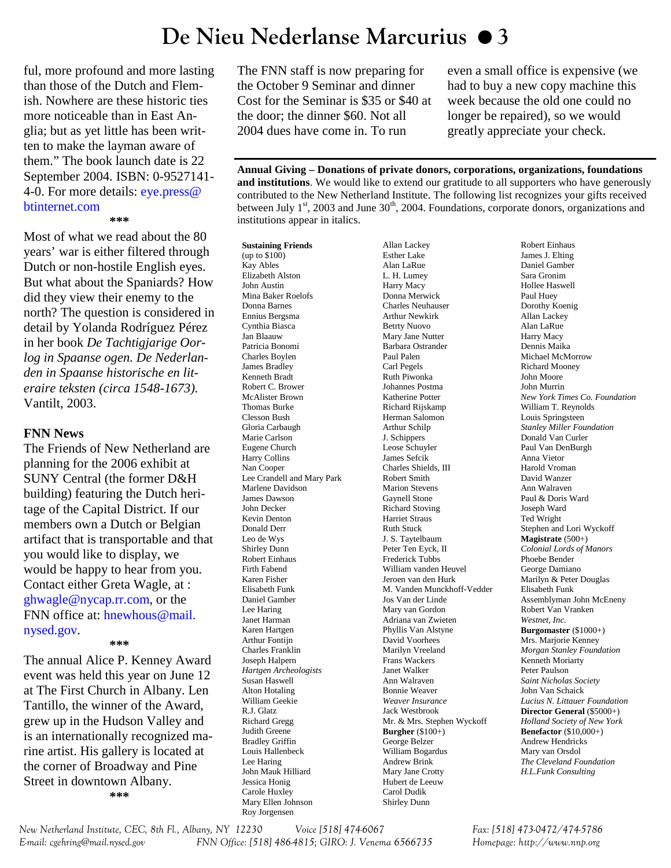# **De Nieu Nederlanse Marcurius 3**

ful, more profound and more lasting than those of the Dutch and Flemish. Nowhere are these historic ties more noticeable than in East Anglia; but as yet little has been written to make the layman aware of them." The book launch date is 22 September 2004. ISBN: 0-9527141- [4-0. For more details: eye.press@](mailto:eye.press@btinternet.com)  btinternet.com

#### **\*\*\***

Most of what we read about the 80 years' war is either filtered through Dutch or non-hostile English eyes. But what about the Spaniards? How did they view their enemy to the north? The question is considered in detail by Yolanda Rodríguez Pérez in her book *De Tachtigjarige Oorlog in Spaanse ogen. De Nederlanden in Spaanse historische en literaire teksten (circa 1548-1673).*  Vantilt, 2003.

### **FNN News**

The Friends of New Netherland are planning for the 2006 exhibit at SUNY Central (the former D&H building) featuring the Dutch heritage of the Capital District. If our members own a Dutch or Belgian artifact that is transportable and that you would like to display, we would be happy to hear from you. Contact either Greta Wagle, at : [ghwagle@nycap.rr.com,](mailto:ghwagle@nycap.rr.com) or the [FNN office at: hnewhous@mail.](mailto:hnewhous@mail.nysed.gov) nysed.gov.

**\*\*\*** 

The annual Alice P. Kenney Award event was held this year on June 12 at The First Church in Albany. Len Tantillo, the winner of the Award, grew up in the Hudson Valley and is an internationally recognized marine artist. His gallery is located at the corner of Broadway and Pine Street in downtown Albany. **\*\*\*** 

The FNN staff is now preparing for the October 9 Seminar and dinner Cost for the Seminar is \$35 or \$40 at the door; the dinner \$60. Not all 2004 dues have come in. To run

even a small office is expensive (we had to buy a new copy machine this week because the old one could no longer be repaired), so we would greatly appreciate your check.

**Annual Giving – Donations of private donors, corporations, organizations, foundations and institutions**. We would like to extend our gratitude to all supporters who have generously contributed to the New Netherland Institute. The following list recognizes your gifts received between July  $1<sup>st</sup>$ , 2003 and June 30<sup>th</sup>, 2004. Foundations, corporate donors, organizations and institutions appear in italics.

**Sustaining Friends**  (up to \$100) Kay Ables Elizabeth Alston John Austin Mina Baker Roelofs Donna Barnes Ennius Bergsma Cynthia Biasca Jan Blaauw Patricia Bonomi Charles Boylen James Bradley Kenneth Bradt Robert C. Brower McAlister Brown Thomas Burke Clesson Bush Gloria Carbaugh Marie Carlson Eugene Church Harry Collins Nan Cooper Lee Crandell and Mary Park Marlene Davidson James Dawson John Decker Kevin Denton Donald Derr Leo de Wys Shirley Dunn Robert Einhaus Firth Fabend Karen Fisher Elisabeth Funk Daniel Gamber Lee Haring Janet Harman Karen Hartgen Arthur Fontijn Charles Franklin Joseph Halpern *Hartgen Archeologists*  Susan Haswell Alton Hotaling William Geekie R.J. Glatz Richard Gregg Judith Greene Bradley Griffin Louis Hallenbeck Lee Haring John Mauk Hilliard Jessica Honig Carole Huxley Mary Ellen Johnson Roy Jorgensen

Allan Lackey Esther Lake Alan LaRue L. H. Lumey Harry Macy Donna Merwick Charles Neuhauser Arthur Newkirk Betrty Nuovo Mary Jane Nutter Barbara Ostrander Paul Palen Carl Pegels Ruth Piwonka Johannes Postma Katherine Potter Richard Rijskamp Herman Salomon Arthur Schilp J. Schippers Leose Schuyler James Sefcik Charles Shields, III Robert Smith Marion Stevens Gaynell Stone Richard Stoving Harriet Straus Ruth Stuck J. S. Taytelbaum Peter Ten Eyck, II Frederick Tubbs William vanden Heuvel Jeroen van den Hurk M. Vanden Munckhoff-Vedder Jos Van der Linde Mary van Gordon Adriana van Zwieten Phyllis Van Alstyne David Voorhees Marilyn Vreeland Frans Wackers Janet Walker Ann Walraven Bonnie Weaver *Weaver Insurance*  Jack Westbrook Mr. & Mrs. Stephen Wyckoff **Burgher** (\$100+) George Belzer William Bogardus Andrew Brink Mary Jane Crotty Hubert de Leeuw Carol Dudik Shirley Dunn

Robert Einhaus James J. Elting Daniel Gamber Sara Gronim Hollee Haswell Paul Huey Dorothy Koenig Allan Lackey Alan LaRue Harry Macy Dennis Maika Michael McMorrow Richard Mooney John Moore John Murrin *New York Times Co. Foundation*  William T. Reynolds Louis Springsteen *Stanley Miller Foundation* Donald Van Curler Paul Van DenBurgh Anna Vietor Harold Vroman David Wanzer Ann Walraven Paul & Doris Ward Joseph Ward Ted Wright Stephen and Lori Wyckoff **Magistrate** (500+) *Colonial Lords of Manors*  Phoebe Bender George Damiano Marilyn & Peter Douglas Elisabeth Funk Assemblyman John McEneny Robert Van Vranken *Westnet, Inc.*  **Burgomaster** (\$1000+) Mrs. Marjorie Kenney *Morgan Stanley Foundation*  Kenneth Moriarty Peter Paulson *Saint Nicholas Society*  John Van Schaick *Lucius N. Littauer Foundation*  **Director General** (\$5000+) *Holland Society of New York*  **Benefactor** (\$10,000+) Andrew Hendricks Mary van Orsdol *The Cleveland Foundation H.L.Funk Consulting* 

*New Netherland Institute, CEC, 8th Fl., Albany, NY 12230 Voice [518] 474-6067 Fax: [518] 473-0472/474-5786 E-mail: cgehring@mail.nysed.gov FNN Office: [518] 486-4815; GIRO: J. Venema 6566735 Homepage: http://www.nnp.org*